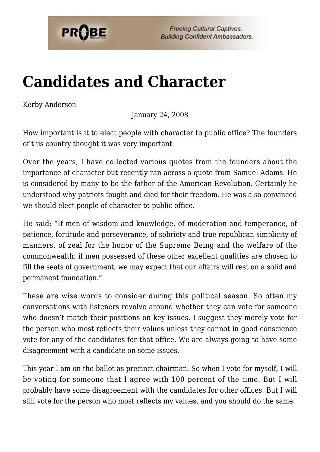

**Freeing Cultural Captives. Building Confident Ambassadors.** 

## **[Candidates and Character](https://probe.org/candidates-and-character/)**

Kerby Anderson

January 24, 2008

How important is it to elect people with character to public office? The founders of this country thought it was very important.

Over the years, I have collected various quotes from the founders about the importance of character but recently ran across a quote from Samuel Adams. He is considered by many to be the father of the American Revolution. Certainly he understood why patriots fought and died for their freedom. He was also convinced we should elect people of character to public office.

He said: "If men of wisdom and knowledge, of moderation and temperance, of patience, fortitude and perseverance, of sobriety and true republican simplicity of manners, of zeal for the honor of the Supreme Being and the welfare of the commonwealth; if men possessed of these other excellent qualities are chosen to fill the seats of government, we may expect that our affairs will rest on a solid and permanent foundation."

These are wise words to consider during this political season. So often my conversations with listeners revolve around whether they can vote for someone who doesn't match their positions on key issues. I suggest they merely vote for the person who most reflects their values unless they cannot in good conscience vote for any of the candidates for that office. We are always going to have some disagreement with a candidate on some issues.

This year I am on the ballot as precinct chairman. So when I vote for myself, I will be voting for someone that I agree with 100 percent of the time. But I will probably have some disagreement with the candidates for other offices. But I will still vote for the person who most reflects my values, and you should do the same.